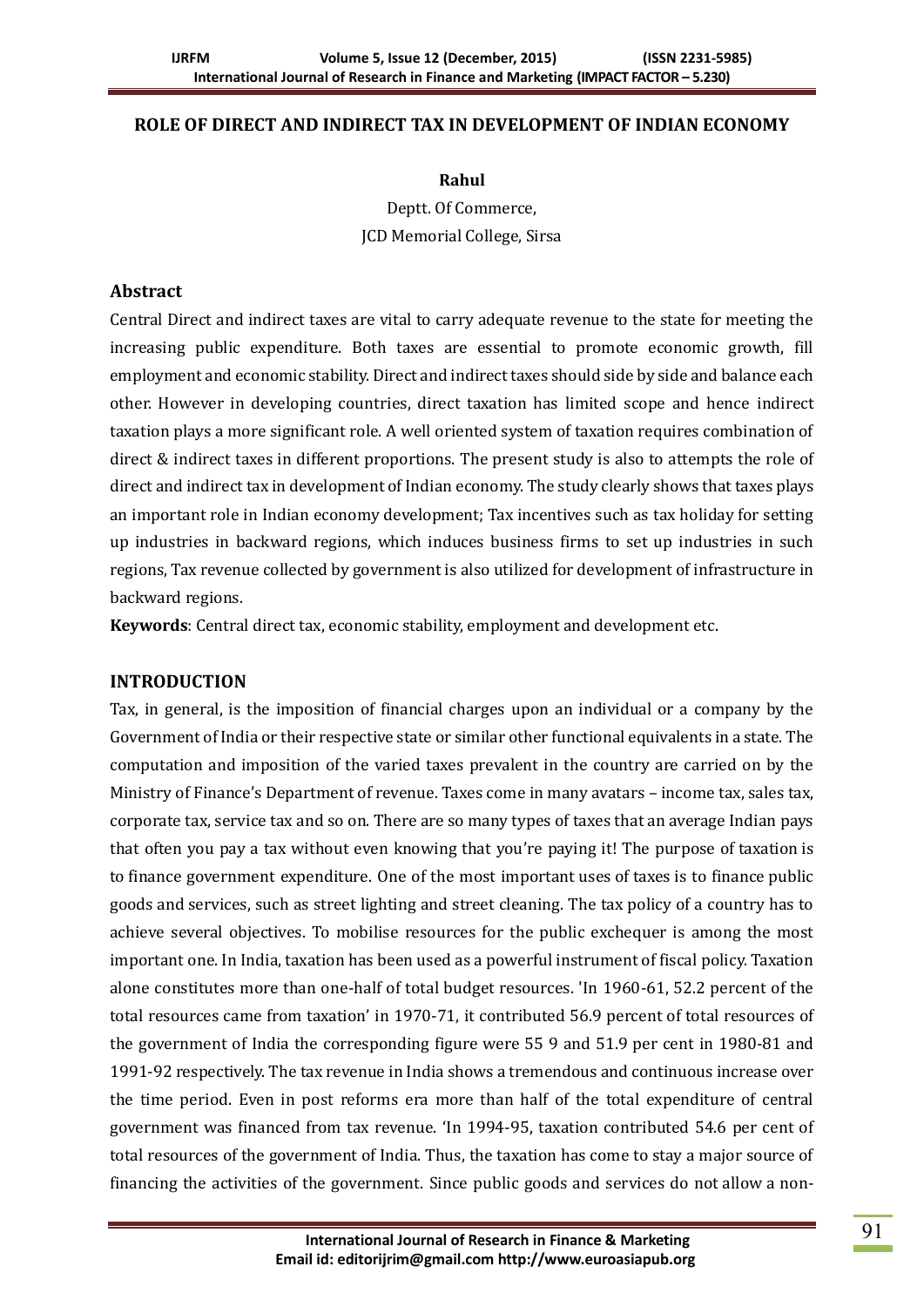#### **ROLE OF DIRECT AND INDIRECT TAX IN DEVELOPMENT OF INDIAN ECONOMY**

#### **Rahul**

Deptt. Of Commerce, JCD Memorial College, Sirsa

#### **Abstract**

Central Direct and indirect taxes are vital to carry adequate revenue to the state for meeting the increasing public expenditure. Both taxes are essential to promote economic growth, fill employment and economic stability. Direct and indirect taxes should side by side and balance each other. However in developing countries, direct taxation has limited scope and hence indirect taxation plays a more significant role. A well oriented system of taxation requires combination of direct & indirect taxes in different proportions. The present study is also to attempts the role of direct and indirect tax in development of Indian economy. The study clearly shows that taxes plays an important role in Indian economy development; Tax incentives such as tax holiday for setting up industries in backward regions, which induces business firms to set up industries in such regions, Tax revenue collected by government is also utilized for development of infrastructure in backward regions.

**Keywords**: Central direct tax, economic stability, employment and development etc.

#### **INTRODUCTION**

Tax, in general, is the imposition of financial charges upon an individual or a company by the Government of India or their respective state or similar other functional equivalents in a state. The computation and imposition of the varied taxes prevalent in the country are carried on by the Ministry of Finance's Department of revenue. Taxes come in many avatars – income tax, sales tax, corporate tax, service tax and so on. There are so many types of taxes that an average Indian pays that often you pay a tax without even knowing that you're paying it! The purpose of taxation is to finance government expenditure. One of the most important uses of taxes is to finance public goods and services, such as street lighting and street cleaning. The tax policy of a country has to achieve several objectives. To mobilise resources for the public exchequer is among the most important one. In India, taxation has been used as a powerful instrument of fiscal policy. Taxation alone constitutes more than one-half of total budget resources. 'In 1960-61, 52.2 percent of the total resources came from taxation' in 1970-71, it contributed 56.9 percent of total resources of the government of India the corresponding figure were 55 9 and 51.9 per cent in 1980-81 and 1991-92 respectively. The tax revenue in India shows a tremendous and continuous increase over the time period. Even in post reforms era more than half of the total expenditure of central government was financed from tax revenue. 'In 1994-95, taxation contributed 54.6 per cent of total resources of the government of India. Thus, the taxation has come to stay a major source of financing the activities of the government. Since public goods and services do not allow a non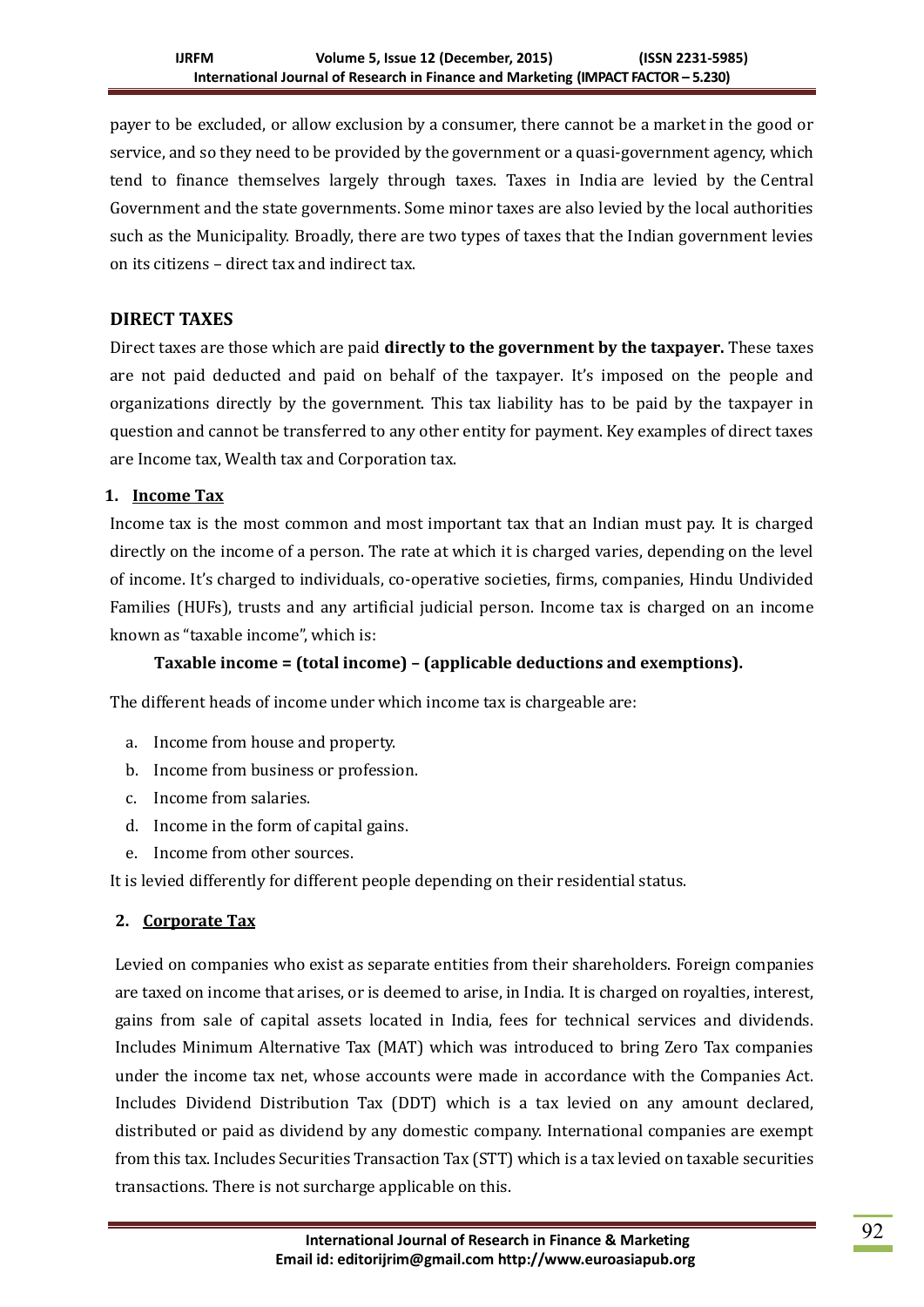payer to be excluded, or allow exclusion by a consumer, there cannot be a market in the good or service, and so they need to be provided by the government or a quasi-government agency, which tend to finance themselves largely through taxes. Taxes in India are levied by the Central Government and the state governments. Some minor taxes are also levied by the local authorities such as the Municipality. Broadly, there are two types of taxes that the Indian government levies on its citizens – direct tax and indirect tax.

# **DIRECT TAXES**

Direct taxes are those which are paid **directly to the government by the taxpayer.** These taxes are not paid deducted and paid on behalf of the taxpayer. It's imposed on the people and organizations directly by the government. This tax liability has to be paid by the taxpayer in question and cannot be transferred to any other entity for payment. Key examples of direct taxes are Income tax, Wealth tax and Corporation tax.

## **1. [Income Tax](https://www.bankbazaar.com/income-tax.html)**

Income tax is the most common and most important tax that an Indian must pay. It is charged directly on the income of a person. The rate at which it is charged varies, depending on the level of income. It's charged to individuals, co-operative societies, firms, companies, Hindu Undivided Families (HUFs), trusts and any artificial judicial person. Income tax is charged on an income known as "taxable income", which is:

## **Taxable income = (total income) – (applicable deductions and exemptions).**

The different heads of income under which income tax is chargeable are:

- a. Income from house and property.
- b. Income from business or profession.
- c. Income from salaries.
- d. Income in the form of capital gains.
- e. Income from other sources.

It is levied differently for different people depending on their residential status.

## **2. [Corporate Tax](https://www.bankbazaar.com/tax/corporate-tax.html)**

Levied on companies who exist as separate entities from their shareholders. Foreign companies are taxed on income that arises, or is deemed to arise, in India. It is charged on royalties, interest, gains from sale of capital assets located in India, fees for technical services and dividends. Includes Minimum Alternative Tax (MAT) which was introduced to bring Zero Tax companies under the income tax net, whose accounts were made in accordance with the Companies Act. Includes Dividend Distribution Tax (DDT) which is a tax levied on any amount declared, distributed or paid as dividend by any domestic company. International companies are exempt from this tax. Includes Securities Transaction Tax (STT) which is a tax levied on taxable securities transactions. There is not surcharge applicable on this.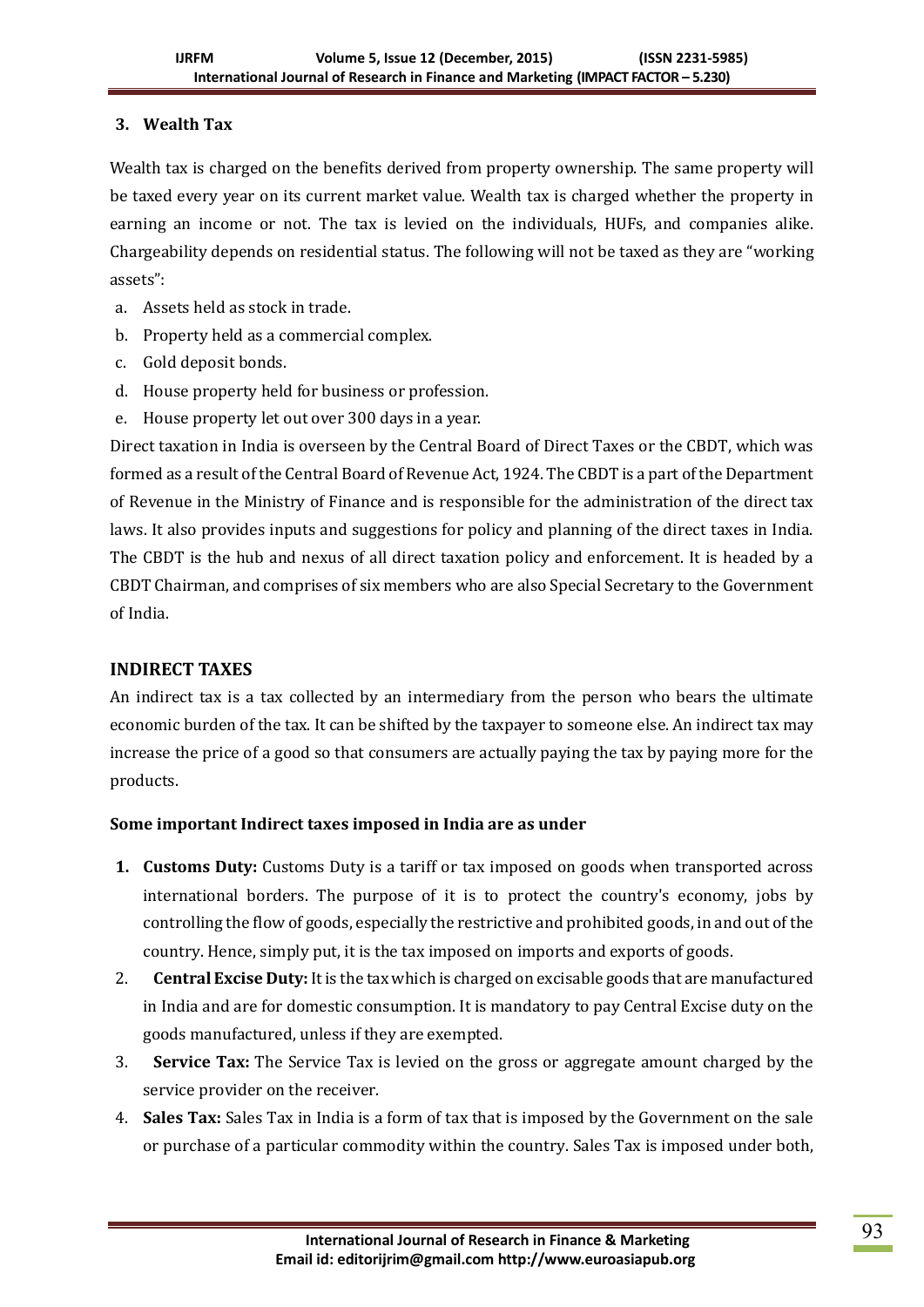# **3. Wealth Tax**

Wealth tax is charged on the benefits derived from property ownership. The same property will be taxed every year on its current market value. Wealth tax is charged whether the property in earning an income or not. The tax is levied on the individuals, HUFs, and companies alike. Chargeability depends on residential status. The following will not be taxed as they are "working assets":

- a. Assets held as stock in trade.
- b. Property held as a commercial complex.
- c. Gold deposit bonds.
- d. House property held for business or profession.
- e. House property let out over 300 days in a year.

Direct taxation in India is overseen by the Central Board of Direct Taxes or the CBDT, which was formed as a result of the Central Board of Revenue Act, 1924. The CBDT is a part of the Department of Revenue in the Ministry of Finance and is responsible for the administration of the direct tax laws. It also provides inputs and suggestions for policy and planning of the direct taxes in India. The CBDT is the hub and nexus of all direct taxation policy and enforcement. It is headed by a CBDT Chairman, and comprises of six members who are also Special Secretary to the Government of India.

# **INDIRECT TAXES**

An indirect tax is a tax collected by an intermediary from the person who bears the ultimate economic burden of the tax. It can be shifted by the taxpayer to someone else. An indirect tax may increase the price of a good so that consumers are actually paying the tax by paying more for the products.

## **Some important Indirect taxes imposed in India are as under**

- **1. Customs Duty:** Customs Duty is a tariff or tax imposed on goods when transported across international borders. The purpose of it is to protect the country's economy, jobs by controlling the flow of goods, especially the restrictive and prohibited goods, in and out of the country. Hence, simply put, it is the tax imposed on imports and exports of goods.
- 2. **Central Excise Duty:** It is the tax which is charged on excisable goods that are manufactured in India and are for domestic consumption. It is mandatory to pay Central Excise duty on the goods manufactured, unless if they are exempted.
- 3. **Service Tax:** The Service Tax is levied on the gross or aggregate amount charged by the service provider on the receiver.
- 4. **Sales Tax:** Sales Tax in India is a form of tax that is imposed by the Government on the sale or purchase of a particular commodity within the country. Sales Tax is imposed under both,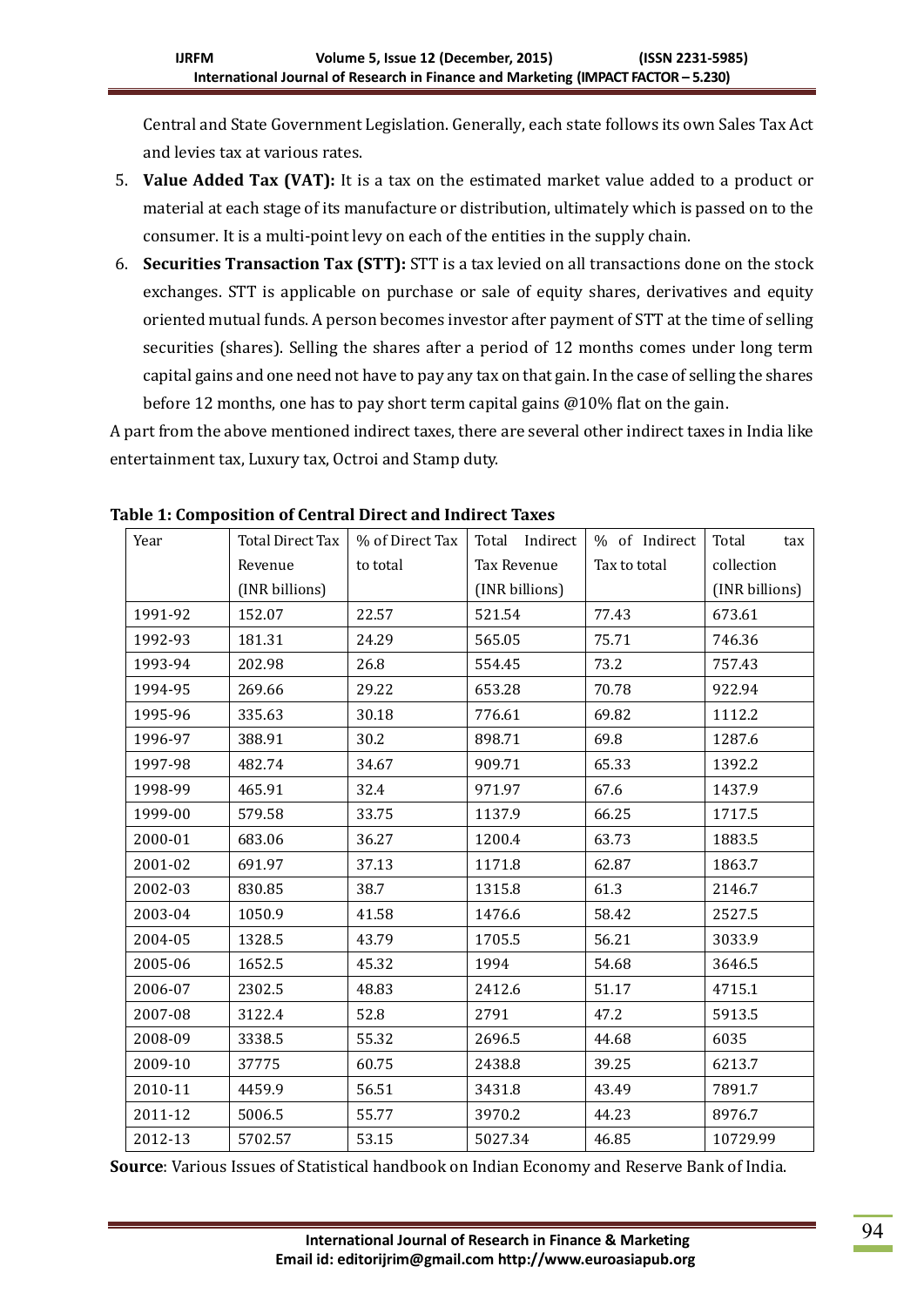Central and State Government Legislation. Generally, each state follows its own Sales Tax Act and levies tax at various rates.

- 5. **Value Added Tax (VAT):** It is a tax on the estimated market value added to a product or material at each stage of its manufacture or distribution, ultimately which is passed on to the consumer. It is a multi-point levy on each of the entities in the supply chain.
- 6. **Securities Transaction Tax (STT):** STT is a tax levied on all transactions done on the stock exchanges. STT is applicable on purchase or sale of equity shares, derivatives and equity oriented mutual funds. A person becomes investor after payment of STT at the time of selling securities (shares). Selling the shares after a period of 12 months comes under long term capital gains and one need not have to pay any tax on that gain. In the case of selling the shares before 12 months, one has to pay short term capital gains @10% flat on the gain.

A part from the above mentioned indirect taxes, there are several other indirect taxes in India like entertainment tax, Luxury tax, Octroi and Stamp duty.

| Year    | Total Direct Tax | % of Direct Tax | Total Indirect | % of Indirect | Total<br>tax   |
|---------|------------------|-----------------|----------------|---------------|----------------|
|         | Revenue          | to total        | Tax Revenue    | Tax to total  | collection     |
|         | (INR billions)   |                 | (INR billions) |               | (INR billions) |
| 1991-92 | 152.07           | 22.57           | 521.54         | 77.43         | 673.61         |
| 1992-93 | 181.31           | 24.29           | 565.05         | 75.71         | 746.36         |
| 1993-94 | 202.98           | 26.8            | 554.45         | 73.2          | 757.43         |
| 1994-95 | 269.66           | 29.22           | 653.28         | 70.78         | 922.94         |
| 1995-96 | 335.63           | 30.18           | 776.61         | 69.82         | 1112.2         |
| 1996-97 | 388.91           | 30.2            | 898.71         | 69.8          | 1287.6         |
| 1997-98 | 482.74           | 34.67           | 909.71         | 65.33         | 1392.2         |
| 1998-99 | 465.91           | 32.4            | 971.97         | 67.6          | 1437.9         |
| 1999-00 | 579.58           | 33.75           | 1137.9         | 66.25         | 1717.5         |
| 2000-01 | 683.06           | 36.27           | 1200.4         | 63.73         | 1883.5         |
| 2001-02 | 691.97           | 37.13           | 1171.8         | 62.87         | 1863.7         |
| 2002-03 | 830.85           | 38.7            | 1315.8         | 61.3          | 2146.7         |
| 2003-04 | 1050.9           | 41.58           | 1476.6         | 58.42         | 2527.5         |
| 2004-05 | 1328.5           | 43.79           | 1705.5         | 56.21         | 3033.9         |
| 2005-06 | 1652.5           | 45.32           | 1994           | 54.68         | 3646.5         |
| 2006-07 | 2302.5           | 48.83           | 2412.6         | 51.17         | 4715.1         |
| 2007-08 | 3122.4           | 52.8            | 2791           | 47.2          | 5913.5         |
| 2008-09 | 3338.5           | 55.32           | 2696.5         | 44.68         | 6035           |
| 2009-10 | 37775            | 60.75           | 2438.8         | 39.25         | 6213.7         |
| 2010-11 | 4459.9           | 56.51           | 3431.8         | 43.49         | 7891.7         |
| 2011-12 | 5006.5           | 55.77           | 3970.2         | 44.23         | 8976.7         |
| 2012-13 | 5702.57          | 53.15           | 5027.34        | 46.85         | 10729.99       |

**Table 1: Composition of Central Direct and Indirect Taxes**

**Source**: Various Issues of Statistical handbook on Indian Economy and Reserve Bank of India.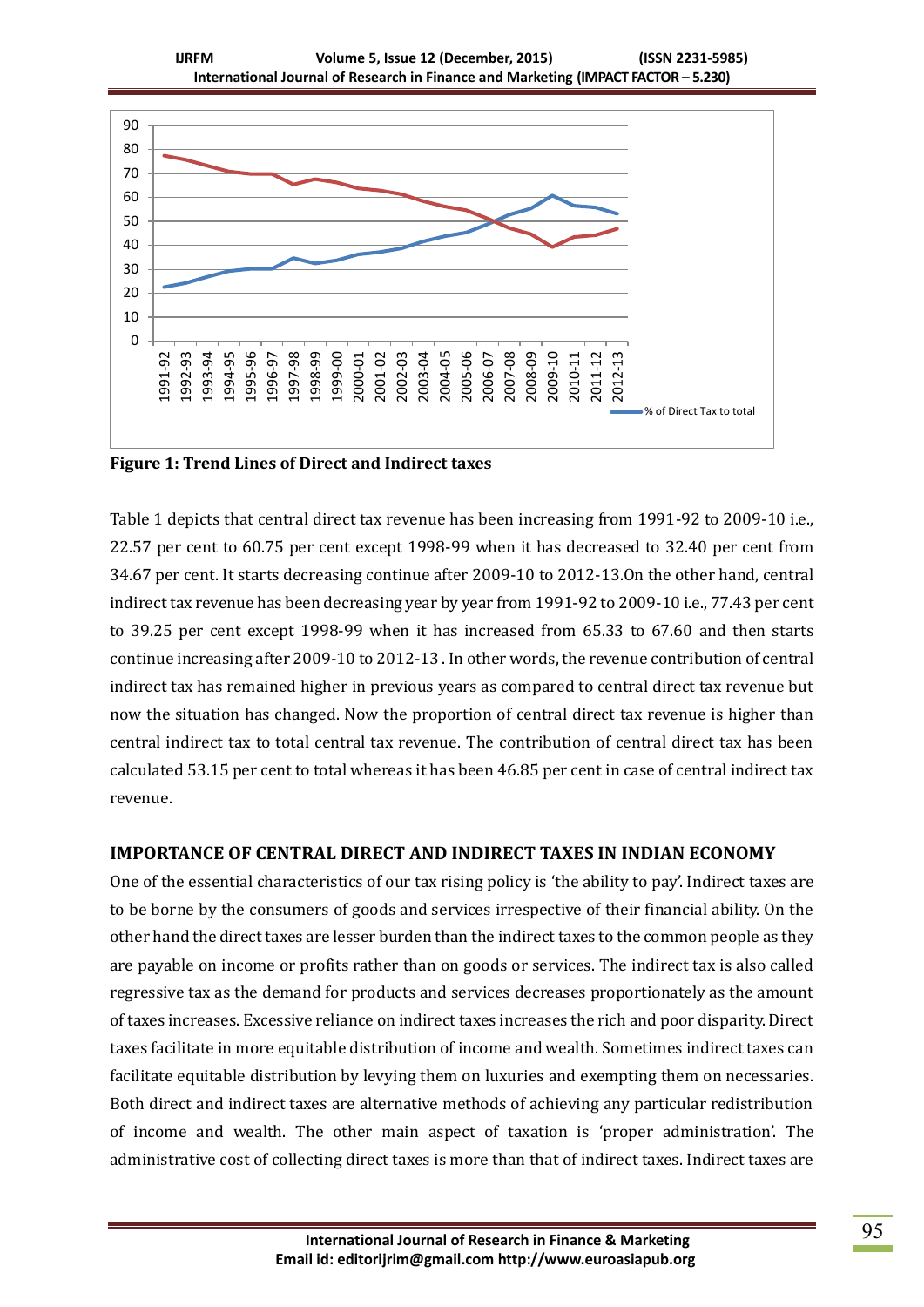

**Figure 1: Trend Lines of Direct and Indirect taxes**

Table 1 depicts that central direct tax revenue has been increasing from 1991-92 to 2009-10 i.e., 22.57 per cent to 60.75 per cent except 1998-99 when it has decreased to 32.40 per cent from 34.67 per cent. It starts decreasing continue after 2009-10 to 2012-13.On the other hand, central indirect tax revenue has been decreasing year by year from 1991-92 to 2009-10 i.e., 77.43 per cent to 39.25 per cent except 1998-99 when it has increased from 65.33 to 67.60 and then starts continue increasing after 2009-10 to 2012-13 . In other words, the revenue contribution of central indirect tax has remained higher in previous years as compared to central direct tax revenue but now the situation has changed. Now the proportion of central direct tax revenue is higher than central indirect tax to total central tax revenue. The contribution of central direct tax has been calculated 53.15 per cent to total whereas it has been 46.85 per cent in case of central indirect tax revenue.

## **IMPORTANCE OF CENTRAL DIRECT AND INDIRECT TAXES IN INDIAN ECONOMY**

One of the essential characteristics of our tax rising policy is 'the ability to pay'. Indirect taxes are to be borne by the consumers of goods and services irrespective of their financial ability. On the other hand the direct taxes are lesser burden than the indirect taxes to the common people as they are payable on income or profits rather than on goods or services. The indirect tax is also called regressive tax as the demand for products and services decreases proportionately as the amount of taxes increases. Excessive reliance on indirect taxes increases the rich and poor disparity. Direct taxes facilitate in more equitable distribution of income and wealth. Sometimes indirect taxes can facilitate equitable distribution by levying them on luxuries and exempting them on necessaries. Both direct and indirect taxes are alternative methods of achieving any particular redistribution of income and wealth. The other main aspect of taxation is 'proper administration'. The administrative cost of collecting direct taxes is more than that of indirect taxes. Indirect taxes are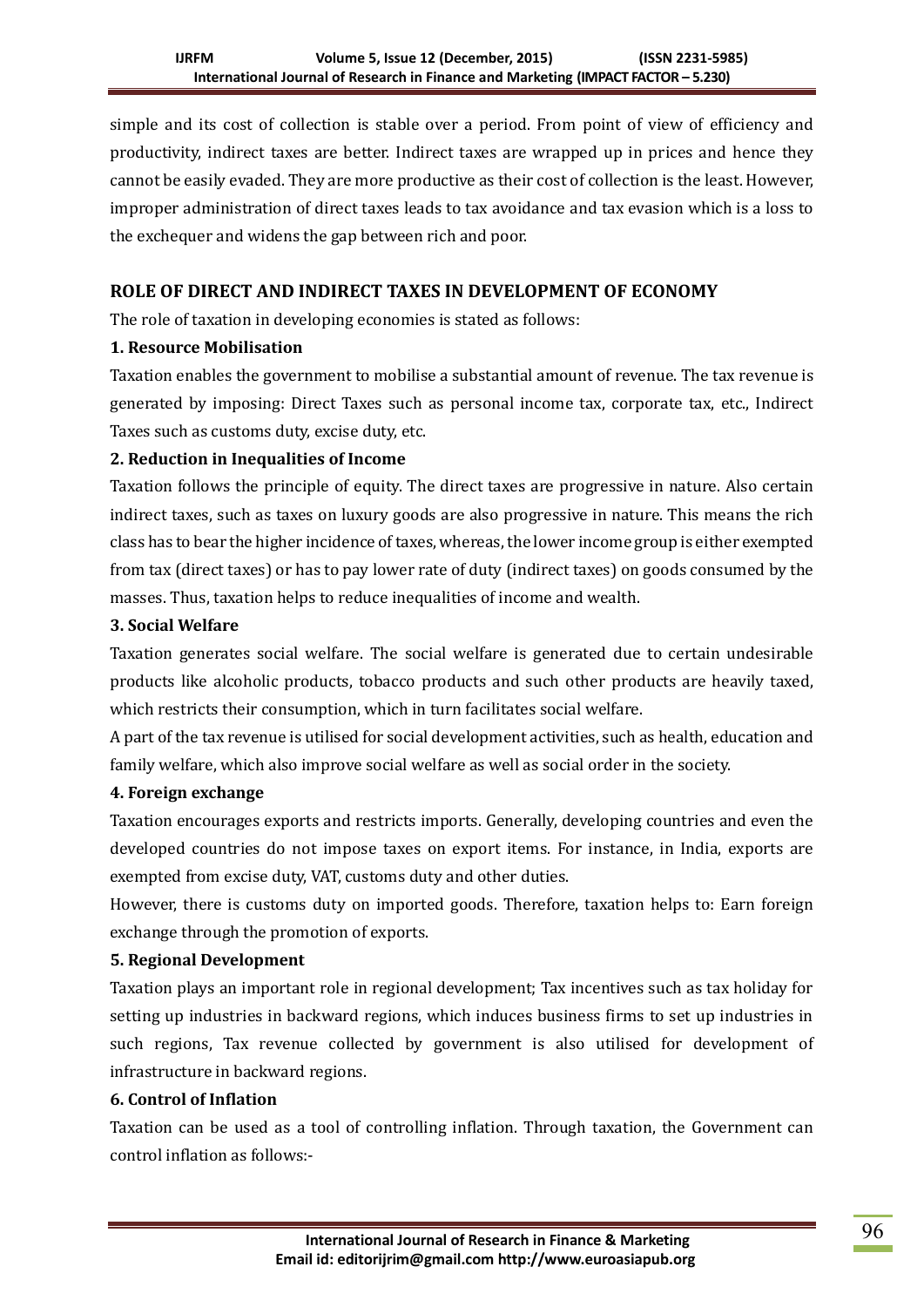simple and its cost of collection is stable over a period. From point of view of efficiency and productivity, indirect taxes are better. Indirect taxes are wrapped up in prices and hence they cannot be easily evaded. They are more productive as their cost of collection is the least. However, improper administration of direct taxes leads to tax avoidance and tax evasion which is a loss to the exchequer and widens the gap between rich and poor.

## **ROLE OF DIRECT AND INDIRECT TAXES IN DEVELOPMENT OF ECONOMY**

The role of taxation in developing economies is stated as follows:

#### **1. Resource Mobilisation**

Taxation enables the government to mobilise a substantial amount of revenue. The tax revenue is generated by imposing: Direct Taxes such as personal income tax, corporate tax, etc., Indirect Taxes such as customs duty, excise duty, etc.

## **2. Reduction in Inequalities of Income**

Taxation follows the principle of equity. The direct taxes are progressive in nature. Also certain indirect taxes, such as taxes on luxury goods are also progressive in nature. This means the rich class has to bear the higher incidence of taxes, whereas, the lower income group is either exempted from tax (direct taxes) or has to pay lower rate of duty (indirect taxes) on goods consumed by the masses. Thus, taxation helps to reduce inequalities of income and wealth.

#### **3. Social Welfare**

Taxation generates social welfare. The social welfare is generated due to certain undesirable products like alcoholic products, tobacco products and such other products are heavily taxed, which restricts their consumption, which in turn facilitates social welfare.

A part of the tax revenue is utilised for social development activities, such as health, education and family welfare, which also improve social welfare as well as social order in the society.

#### **4. Foreign exchange**

Taxation encourages exports and restricts imports. Generally, developing countries and even the developed countries do not impose taxes on export items. For instance, in India, exports are exempted from excise duty, VAT, customs duty and other duties.

However, there is customs duty on imported goods. Therefore, taxation helps to: Earn foreign exchange through the promotion of exports.

## **5. Regional Development**

Taxation plays an important role in regional development; Tax incentives such as tax holiday for setting up industries in backward regions, which induces business firms to set up industries in such regions, Tax revenue collected by government is also utilised for development of infrastructure in backward regions.

# **6. Control of Inflation**

Taxation can be used as a tool of controlling inflation. Through taxation, the Government can control inflation as follows:-